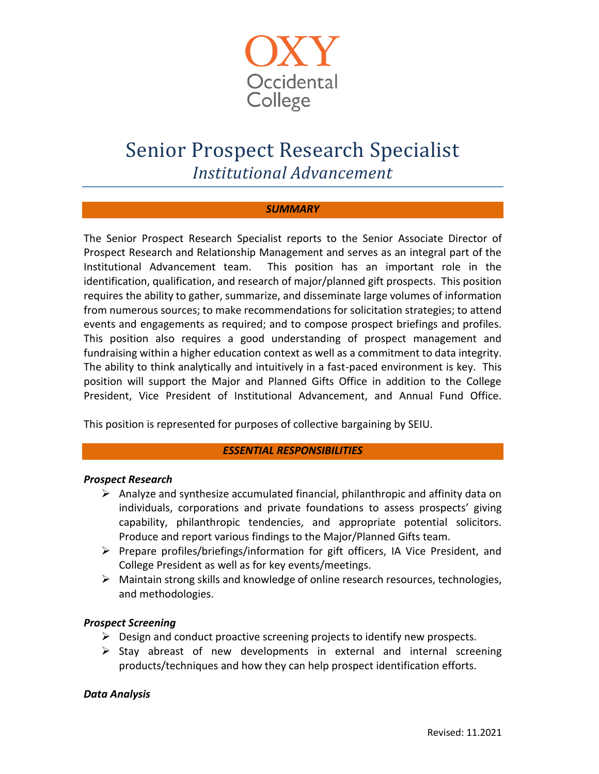

# Senior Prospect Research Specialist *Institutional Advancement*

## *SUMMARY*

The Senior Prospect Research Specialist reports to the Senior Associate Director of Prospect Research and Relationship Management and serves as an integral part of the Institutional Advancement team. This position has an important role in the identification, qualification, and research of major/planned gift prospects. This position requires the ability to gather, summarize, and disseminate large volumes of information from numerous sources; to make recommendations for solicitation strategies; to attend events and engagements as required; and to compose prospect briefings and profiles. This position also requires a good understanding of prospect management and fundraising within a higher education context as well as a commitment to data integrity. The ability to think analytically and intuitively in a fast-paced environment is key. This position will support the Major and Planned Gifts Office in addition to the College President, Vice President of Institutional Advancement, and Annual Fund Office.

This position is represented for purposes of collective bargaining by SEIU.

## *ESSENTIAL RESPONSIBILITIES*

## *Prospect Research*

- $\triangleright$  Analyze and synthesize accumulated financial, philanthropic and affinity data on individuals, corporations and private foundations to assess prospects' giving capability, philanthropic tendencies, and appropriate potential solicitors. Produce and report various findings to the Major/Planned Gifts team.
- $\triangleright$  Prepare profiles/briefings/information for gift officers, IA Vice President, and College President as well as for key events/meetings.
- $\triangleright$  Maintain strong skills and knowledge of online research resources, technologies, and methodologies.

## *Prospect Screening*

- $\triangleright$  Design and conduct proactive screening projects to identify new prospects.
- $\triangleright$  Stay abreast of new developments in external and internal screening products/techniques and how they can help prospect identification efforts.

## *Data Analysis*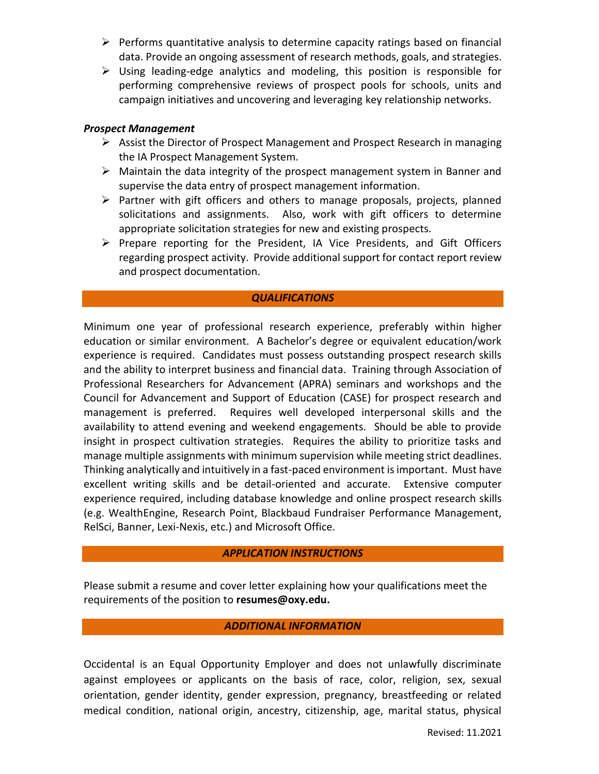- $\triangleright$  Performs quantitative analysis to determine capacity ratings based on financial data. Provide an ongoing assessment of research methods, goals, and strategies.
- $\triangleright$  Using leading-edge analytics and modeling, this position is responsible for performing comprehensive reviews of prospect pools for schools, units and campaign initiatives and uncovering and leveraging key relationship networks.

## *Prospect Management*

- $\triangleright$  Assist the Director of Prospect Management and Prospect Research in managing the IA Prospect Management System.
- $\triangleright$  Maintain the data integrity of the prospect management system in Banner and supervise the data entry of prospect management information.
- $\triangleright$  Partner with gift officers and others to manage proposals, projects, planned solicitations and assignments. Also, work with gift officers to determine appropriate solicitation strategies for new and existing prospects.
- $\triangleright$  Prepare reporting for the President, IA Vice Presidents, and Gift Officers regarding prospect activity. Provide additional support for contact report review and prospect documentation.

### *QUALIFICATIONS*

Minimum one year of professional research experience, preferably within higher education or similar environment. A Bachelor's degree or equivalent education/work experience is required. Candidates must possess outstanding prospect research skills and the ability to interpret business and financial data. Training through Association of Professional Researchers for Advancement (APRA) seminars and workshops and the Council for Advancement and Support of Education (CASE) for prospect research and management is preferred. Requires well developed interpersonal skills and the availability to attend evening and weekend engagements. Should be able to provide insight in prospect cultivation strategies. Requires the ability to prioritize tasks and manage multiple assignments with minimum supervision while meeting strict deadlines. Thinking analytically and intuitively in a fast-paced environment is important. Must have excellent writing skills and be detail-oriented and accurate. Extensive computer experience required, including database knowledge and online prospect research skills (e.g. WealthEngine, Research Point, Blackbaud Fundraiser Performance Management, RelSci, Banner, Lexi-Nexis, etc.) and Microsoft Office.

## *APPLICATION INSTRUCTIONS*

Please submit a resume and cover letter explaining how your qualifications meet the requirements of the position to **[resumes@oxy.edu.](mailto:resumes@oxy.edu)** 

## *ADDITIONAL INFORMATION*

Occidental is an Equal Opportunity Employer and does not unlawfully discriminate against employees or applicants on the basis of race, color, religion, sex, sexual orientation, gender identity, gender expression, pregnancy, breastfeeding or related medical condition, national origin, ancestry, citizenship, age, marital status, physical